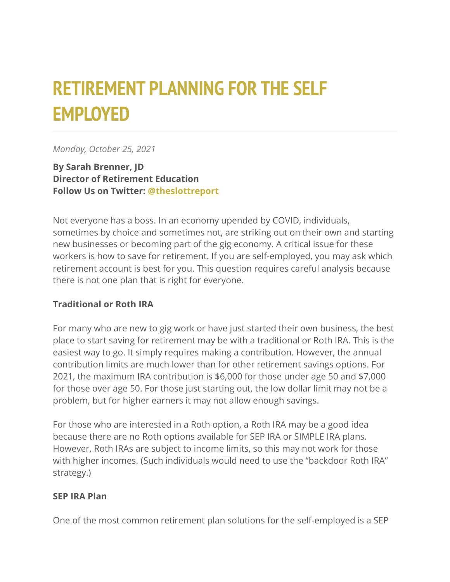# **RETIREMENT PLANNING FOR THE SELF EMPLOYED**

*Monday, October 25, 2021*

**By Sarah Brenner, JD Director of Retirement Education Follow Us on Twitter: [@theslottreport](https://twitter.com/theslottreport)**

Not everyone has a boss. In an economy upended by COVID, individuals, sometimes by choice and sometimes not, are striking out on their own and starting new businesses or becoming part of the gig economy. A critical issue for these workers is how to save for retirement. If you are self-employed, you may ask which retirement account is best for you. This question requires careful analysis because there is not one plan that is right for everyone.

### **Traditional or Roth IRA**

For many who are new to gig work or have just started their own business, the best place to start saving for retirement may be with a traditional or Roth IRA. This is the easiest way to go. It simply requires making a contribution. However, the annual contribution limits are much lower than for other retirement savings options. For 2021, the maximum IRA contribution is \$6,000 for those under age 50 and \$7,000 for those over age 50. For those just starting out, the low dollar limit may not be a problem, but for higher earners it may not allow enough savings.

For those who are interested in a Roth option, a Roth IRA may be a good idea because there are no Roth options available for SEP IRA or SIMPLE IRA plans. However, Roth IRAs are subject to income limits, so this may not work for those with higher incomes. (Such individuals would need to use the "backdoor Roth IRA" strategy.)

#### **SEP IRA Plan**

One of the most common retirement plan solutions for the self-employed is a SEP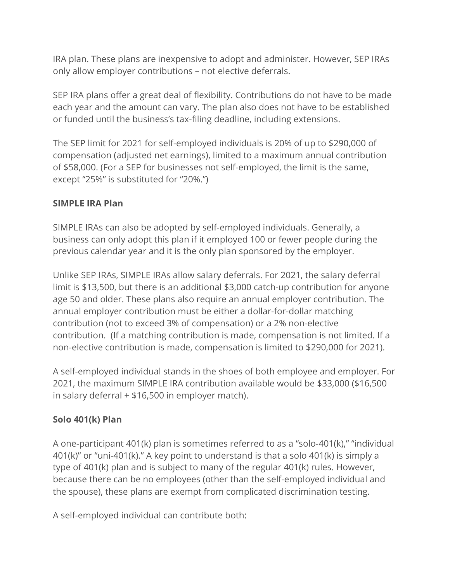IRA plan. These plans are inexpensive to adopt and administer. However, SEP IRAs only allow employer contributions – not elective deferrals.

SEP IRA plans offer a great deal of flexibility. Contributions do not have to be made each year and the amount can vary. The plan also does not have to be established or funded until the business's tax-filing deadline, including extensions.

The SEP limit for 2021 for self-employed individuals is 20% of up to \$290,000 of compensation (adjusted net earnings), limited to a maximum annual contribution of \$58,000. (For a SEP for businesses not self-employed, the limit is the same, except "25%" is substituted for "20%.")

### **SIMPLE IRA Plan**

SIMPLE IRAs can also be adopted by self-employed individuals. Generally, a business can only adopt this plan if it employed 100 or fewer people during the previous calendar year and it is the only plan sponsored by the employer.

Unlike SEP IRAs, SIMPLE IRAs allow salary deferrals. For 2021, the salary deferral limit is \$13,500, but there is an additional \$3,000 catch-up contribution for anyone age 50 and older. These plans also require an annual employer contribution. The annual employer contribution must be either a dollar-for-dollar matching contribution (not to exceed 3% of compensation) or a 2% non-elective contribution. (If a matching contribution is made, compensation is not limited. If a non-elective contribution is made, compensation is limited to \$290,000 for 2021).

A self-employed individual stands in the shoes of both employee and employer. For 2021, the maximum SIMPLE IRA contribution available would be \$33,000 (\$16,500 in salary deferral + \$16,500 in employer match).

## **Solo 401(k) Plan**

A one-participant 401(k) plan is sometimes referred to as a "solo-401(k)," "individual 401(k)" or "uni-401(k)." A key point to understand is that a solo 401(k) is simply a type of 401(k) plan and is subject to many of the regular 401(k) rules. However, because there can be no employees (other than the self-employed individual and the spouse), these plans are exempt from complicated discrimination testing.

A self-employed individual can contribute both: